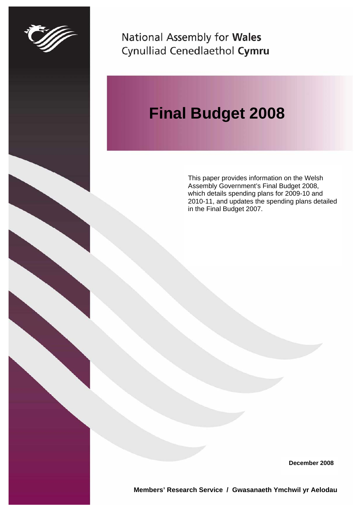

National Assembly for Wales Cynulliad Cenedlaethol Cymru

# **Final Budget 2008**

This paper provides information on the Welsh Assembly Government's Final Budget 2008, which details spending plans for 2009-10 and 2010-11, and updates the spending plans detailed in the Final Budget 2007.

**December 2008** 

**Members' Research Service / Gwasanaeth Ymchwil yr Aelodau**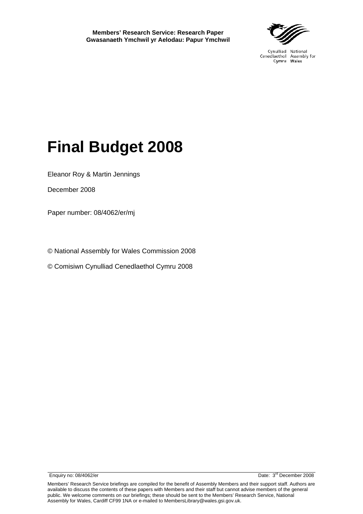**Members' Research Service: Research Paper Gwasanaeth Ymchwil yr Aelodau: Papur Ymchwil** 



Cynulliad National Cenedlaethol Assembly for Cymru Wales

# **Final Budget 2008**

Eleanor Roy & Martin Jennings

December 2008

Paper number: 08/4062/er/mj

© National Assembly for Wales Commission 2008

© Comisiwn Cynulliad Cenedlaethol Cymru 2008

Enquiry no: 08/4062/er Date: 3<sup>rd</sup> December 2008

Members' Research Service briefings are compiled for the benefit of Assembly Members and their support staff. Authors are available to discuss the contents of these papers with Members and their staff but cannot advise members of the general public. We welcome comments on our briefings; these should be sent to the Members' Research Service, National Assembly for Wales, Cardiff CF99 1NA or e-mailed to MembersLibrary@wales.gsi.gov.uk.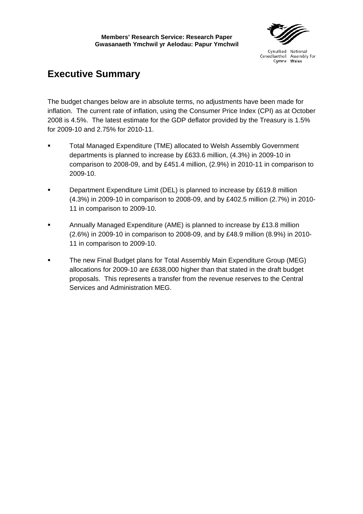# **Executive Summary**

The budget changes below are in absolute terms, no adjustments have been made for inflation. The current rate of inflation, using the Consumer Price Index (CPI) as at October 2008 is 4.5%. The latest estimate for the GDP deflator provided by the Treasury is 1.5% for 2009-10 and 2.75% for 2010-11.

- Total Managed Expenditure (TME) allocated to Welsh Assembly Government departments is planned to increase by £633.6 million, (4.3%) in 2009-10 in comparison to 2008-09, and by £451.4 million, (2.9%) in 2010-11 in comparison to 2009-10.
- Department Expenditure Limit (DEL) is planned to increase by £619.8 million (4.3%) in 2009-10 in comparison to 2008-09, and by £402.5 million (2.7%) in 2010- 11 in comparison to 2009-10.
- Annually Managed Expenditure (AME) is planned to increase by £13.8 million (2.6%) in 2009-10 in comparison to 2008-09, and by £48.9 million (8.9%) in 2010- 11 in comparison to 2009-10.
- The new Final Budget plans for Total Assembly Main Expenditure Group (MEG) allocations for 2009-10 are £638,000 higher than that stated in the draft budget proposals. This represents a transfer from the revenue reserves to the Central Services and Administration MEG.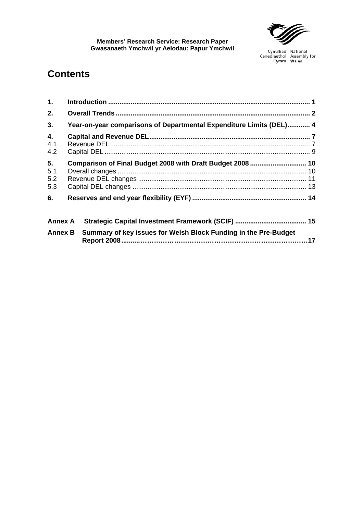

# **Contents**

| 1 <sub>1</sub>          |                                                                     |  |
|-------------------------|---------------------------------------------------------------------|--|
| 2.                      |                                                                     |  |
| 3.                      | Year-on-year comparisons of Departmental Expenditure Limits (DEL) 4 |  |
| 4.<br>4.1<br>4.2        |                                                                     |  |
| 5.<br>5.1<br>5.2<br>5.3 | Comparison of Final Budget 2008 with Draft Budget 2008  10          |  |
| 6.                      |                                                                     |  |
| <b>Annex A</b>          |                                                                     |  |
| <b>Annex B</b>          | Summary of key issues for Welsh Block Funding in the Pre-Budget     |  |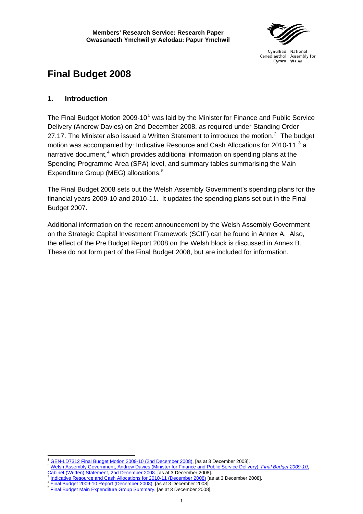Cynulliad National Cenedlaethol Assembly for Cymru Wales

# <span id="page-8-0"></span>**Final Budget 2008**

# **1. Introduction**

The Final Budget Motion 2009-[1](#page-8-1)0<sup>1</sup> was laid by the Minister for Finance and Public Service Delivery (Andrew Davies) on 2nd December 2008, as required under Standing Order [2](#page-8-2)7.17. The Minister also issued a Written Statement to introduce the motion. $2$  The budget motion was accompanied by: Indicative Resource and Cash Allocations for 2010-11,<sup>[3](#page-8-3)</sup> a narrative document,<sup>[4](#page-8-4)</sup> which provides additional information on spending plans at the Spending Programme Area (SPA) level, and summary tables summarising the Main Expenditure Group (MEG) allocations.<sup>[5](#page-8-5)</sup>

The Final Budget 2008 sets out the Welsh Assembly Government's spending plans for the financial years 2009-10 and 2010-11. It updates the spending plans set out in the Final Budget 2007.

Additional information on the recent announcement by the Welsh Assembly Government on the Strategic Capital Investment Framework (SCIF) can be found in Annex A. Also, the effect of the Pre Budget Report 2008 on the Welsh block is discussed in Annex B. These do not form part of the Final Budget 2008, but are included for information.

 $\overline{a}$ 

<span id="page-8-2"></span><span id="page-8-1"></span><sup>1</sup> [GEN-LD7312 Final Budget Motion 2009-10 \(2nd December 2008\).](http://www.assemblywales.org/bus-home/bus-guide-docs-pub/bus-business-documents/bus-business-documents-doc-laid/gen-ld7312-e.pdf?langoption=3&ttl=GEN-LD7312%20-%20Final%20Budget%20Motion%202009-10) [as at 3 December 2008].<br>[Welsh Assembly Government, Andrew Davies \(Minister for Finance and Public Service Delivery\),](http://wales.gov.uk/about/cabinet/cabinetstatements/2008/2777834/?lang=en) *Final Budget 2009-10*, [Cabinet \(Written\) Statement, 2nd December 2008.](http://wales.gov.uk/about/cabinet/cabinetstatements/2008/2777834/?lang=en) [as at [3](http://wales.gov.uk/about/cabinet/cabinetstatements/2008/2777834/?lang=en) December 2008].<br>
<sup>3</sup> [Indicative Resource and Cash Allocations for 2010-11 \(December 2008\)](http://wales.gov.uk/docs/finance/report/081202annexenglish.pdf?lang=en) [as at 3 December 2008].<br>
<sup>4</sup> [Final Budget 2009-10 Report \(December 2008\).](http://wales.gov.uk/docs/finance/report/081202noteenglish.pdf?lang=en)

<span id="page-8-5"></span><span id="page-8-4"></span><span id="page-8-3"></span>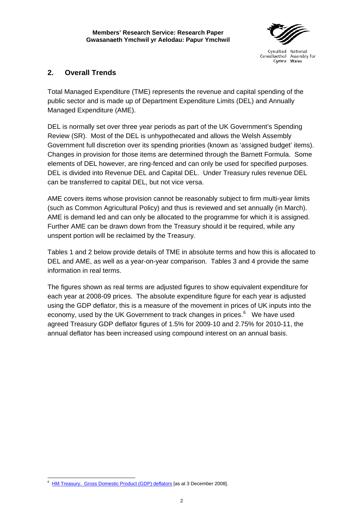

# <span id="page-9-0"></span>**2. Overall Trends**

Total Managed Expenditure (TME) represents the revenue and capital spending of the public sector and is made up of Department Expenditure Limits (DEL) and Annually Managed Expenditure (AME).

DEL is normally set over three year periods as part of the UK Government's Spending Review (SR). Most of the DEL is unhypothecated and allows the Welsh Assembly Government full discretion over its spending priorities (known as 'assigned budget' items). Changes in provision for those items are determined through the Barnett Formula. Some elements of DEL however, are ring-fenced and can only be used for specified purposes. DEL is divided into Revenue DEL and Capital DEL. Under Treasury rules revenue DEL can be transferred to capital DEL, but not vice versa.

AME covers items whose provision cannot be reasonably subject to firm multi-year limits (such as Common Agricultural Policy) and thus is reviewed and set annually (in March). AME is demand led and can only be allocated to the programme for which it is assigned. Further AME can be drawn down from the Treasury should it be required, while any unspent portion will be reclaimed by the Treasury.

Tables 1 and 2 below provide details of TME in absolute terms and how this is allocated to DEL and AME, as well as a year-on-year comparison. Tables 3 and 4 provide the same information in real terms.

The figures shown as real terms are adjusted figures to show equivalent expenditure for each year at 2008-09 prices. The absolute expenditure figure for each year is adjusted using the GDP deflator, this is a measure of the movement in prices of UK inputs into the economy, used by the UK Government to track changes in prices.<sup>[6](#page-9-1)</sup> We have used agreed Treasury GDP deflator figures of 1.5% for 2009-10 and 2.75% for 2010-11, the annual deflator has been increased using compound interest on an annual basis.

<span id="page-9-1"></span> $\overline{a}$ 6 [HM Treasury. Gross Domestic Product \(GDP\) deflators](http://www.hm-treasury.gov.uk/data_gdp_index.htm) [as at 3 December 2008].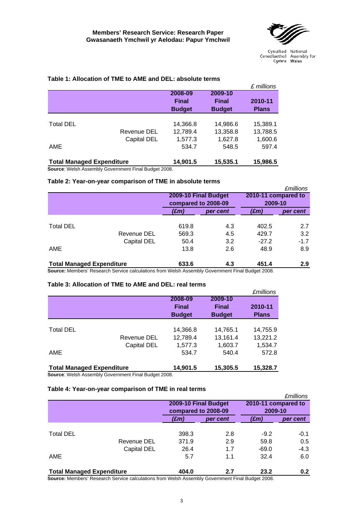

|                                  |                                                          |               |               | £ millions   |
|----------------------------------|----------------------------------------------------------|---------------|---------------|--------------|
|                                  |                                                          | 2008-09       | 2009-10       |              |
|                                  |                                                          | <b>Final</b>  | <b>Final</b>  | 2010-11      |
|                                  |                                                          | <b>Budget</b> | <b>Budget</b> | <b>Plans</b> |
|                                  |                                                          |               |               |              |
| <b>Total DEL</b>                 |                                                          | 14,366.8      | 14,986.6      | 15,389.1     |
|                                  | Revenue DEL                                              | 12,789.4      | 13,358.8      | 13,788.5     |
|                                  | Capital DEL                                              | 1,577.3       | 1.627.8       | 1,600.6      |
| AME                              |                                                          | 534.7         | 548.5         | 597.4        |
| <b>Total Managed Expenditure</b> |                                                          | 14,901.5      | 15,535.1      | 15,986.5     |
|                                  | Between Welch Assembly Ostromous ast Fixel Business 0000 |               |               |              |

#### **Table 1: Allocation of TME to AME and DEL: absolute terms**

**Source**: Welsh Assembly Government Final Budget 2008.

#### **Table 2: Year-on-year comparison of TME in absolute terms**

|       |          |                                             | <i><b>£millions</b></i> |  |
|-------|----------|---------------------------------------------|-------------------------|--|
|       |          |                                             |                         |  |
|       |          | 2009-10                                     |                         |  |
| (£m)  | per cent | $(\pmb{\pounds}m)$                          | per cent                |  |
|       |          |                                             |                         |  |
| 619.8 | 4.3      | 402.5                                       | 2.7                     |  |
| 569.3 | 4.5      | 429.7                                       | 3.2                     |  |
| 50.4  | 3.2      | $-27.2$                                     | $-1.7$                  |  |
| 13.8  | 2.6      | 48.9                                        | 8.9                     |  |
| 633.6 | 4.3      | 451.4                                       | 2.9                     |  |
|       |          | 2009-10 Final Budget<br>compared to 2008-09 | 2010-11 compared to     |  |

**Source:** Members' Research Service calculations from Welsh Assembly Government Final Budget 2008.

#### **Table 3: Allocation of TME to AME and DEL: real terms**

|                                  |             |               |               | <i><b>£millions</b></i> |
|----------------------------------|-------------|---------------|---------------|-------------------------|
|                                  |             | 2008-09       | 2009-10       |                         |
|                                  |             | <b>Final</b>  | <b>Final</b>  | 2010-11                 |
|                                  |             | <b>Budget</b> | <b>Budget</b> | <b>Plans</b>            |
|                                  |             |               |               |                         |
| <b>Total DEL</b>                 |             | 14,366.8      | 14,765.1      | 14,755.9                |
|                                  | Revenue DEL | 12,789.4      | 13,161.4      | 13,221.2                |
|                                  | Capital DEL | 1,577.3       | 1,603.7       | 1,534.7                 |
| AME                              |             | 534.7         | 540.4         | 572.8                   |
| <b>Total Managed Expenditure</b> |             | 14,901.5      | 15,305.5      | 15.328.7                |

**Source**: Welsh Assembly Government Final Budget 2008.

#### **Table 4: Year-on-year comparison of TME in real terms**

|                                                                                                |                     |                      |                     | <i><b>£millions</b></i> |  |
|------------------------------------------------------------------------------------------------|---------------------|----------------------|---------------------|-------------------------|--|
|                                                                                                |                     | 2009-10 Final Budget | 2010-11 compared to |                         |  |
|                                                                                                | compared to 2008-09 |                      | 2009-10             |                         |  |
|                                                                                                | (£m)                | per cent             | (£m)                | per cent                |  |
|                                                                                                |                     |                      |                     |                         |  |
| <b>Total DEL</b>                                                                               | 398.3               | 2.8                  | $-9.2$              | $-0.1$                  |  |
| Revenue DEL                                                                                    | 371.9               | 2.9                  | 59.8                | 0.5                     |  |
| Capital DEL                                                                                    | 26.4                | 1.7                  | $-69.0$             | $-4.3$                  |  |
| AME                                                                                            | 5.7                 | 1.1                  | 32.4                | 6.0                     |  |
| <b>Total Managed Expenditure</b>                                                               | 404.0               | 2.7                  | 23.2                | 0.2                     |  |
| Causes: Mambara' Descorph Cangos coloulations from Walsh Assembly Covernment Final Budget 2000 |                     |                      |                     |                         |  |

**Source:** Members' Research Service calculations from Welsh Assembly Government Final Budget 2008.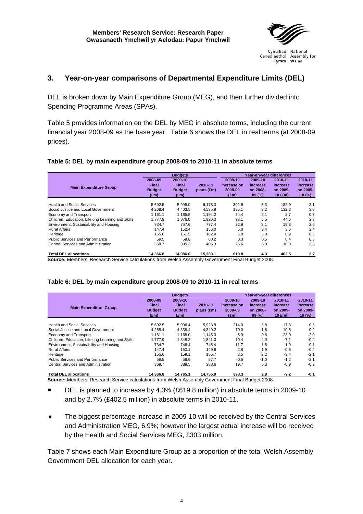

Cymru Wales

## <span id="page-11-0"></span>**3. Year-on-year comparisons of Departmental Expenditure Limits (DEL)**

DEL is broken down by Main Expenditure Group (MEG), and then further divided into Spending Programme Areas (SPAs).

Table 5 provides information on the DEL by MEG in absolute terms, including the current financial year 2008-09 as the base year. Table 6 shows the DEL in real terms (at 2008-09 prices).

#### **Table 5: DEL by main expenditure group 2008-09 to 2010-11 in absolute terms**

|                                                   |               | <b>Budgets</b> |            | Year-on-year differences |          |           |          |
|---------------------------------------------------|---------------|----------------|------------|--------------------------|----------|-----------|----------|
|                                                   | 2008-09       | 2009-10        |            | 2009-10                  | 2009-10  | 2010-11   | 2010-11  |
| <b>Main Expenditure Group</b>                     | <b>Final</b>  | Final          | 2010-11    | increase on              | increase | increase  | increase |
|                                                   | <b>Budget</b> | <b>Budget</b>  | plans (£m) | 2008-09                  | on 2008- | on 2009-  | on 2009- |
|                                                   | $(\text{Em})$ | $(\text{Em})$  |            | $(\text{fm})$            | 09(%)    | 10 $E(m)$ | 10(%)    |
|                                                   |               |                |            |                          |          |           |          |
| <b>Health and Social Services</b>                 | 5.692.5       | 5,995.0        | 6.178.0    | 302.6                    | 5.3      | 182.9     | 3.1      |
| Social Justice and Local Government               | 4.268.4       | 4.403.5        | 4,535.8    | 135.1                    | 3.2      | 132.3     | 3.0      |
| Economy and Transport                             | 1.161.1       | 1.185.5        | 1.194.2    | 24.4                     | 2.1      | 8.7       | 0.7      |
| Children, Education, Lifelong Learning and Skills | 1.777.9       | 1.876.0        | 1.920.0    | 98.1                     | 5.5      | 44.0      | 2.3      |
| Environment, Sustainability and Housing           | 734.7         | 757.6          | 777.4      | 22.9                     | 3.1      | 19.8      | 2.6      |
| <b>Rural Affairs</b>                              | 147.4         | 152.4          | 156.0      | 5.0                      | 3.4      | 3.6       | 2.4      |
| Heritage                                          | 155.6         | 161.5          | 162.4      | 5.8                      | 3.8      | 0.9       | 0.6      |
| Public Services and Performance                   | 59.5          | 59.8           | 60.2       | 0.3                      | 0.5      | 0.4       | 0.6      |
| Central Services and Administration               | 369.7         | 395.3          | 405.3      | 25.6                     | 6.9      | 10.0      | 2.5      |
| <b>Total DEL allocations</b>                      | 14.366.8      | 14.986.6       | 15.389.1   | 619.8                    | 4.3      | 402.5     | 2.7      |

**Source:** Members' Research Service calculations from Welsh Assembly Government Final Budget 2008.

#### **Table 6: DEL by main expenditure group 2008-09 to 2010-11 in real terms**

|                                                   | <b>Budgets</b>                                     |                                                           |                         |                                                    | Year-on-vear differences                 |                                              |                                           |
|---------------------------------------------------|----------------------------------------------------|-----------------------------------------------------------|-------------------------|----------------------------------------------------|------------------------------------------|----------------------------------------------|-------------------------------------------|
| <b>Main Expenditure Group</b>                     | 2008-09<br>Final<br><b>Budget</b><br>$(\text{fm})$ | 2009-10<br><b>Final</b><br><b>Budget</b><br>$(\text{fm})$ | 2010-11<br>$plans$ (£m) | 2009-10<br>increase on<br>2008-09<br>$(\text{fm})$ | 2009-10<br>increase<br>on 2008-<br>09(%) | 2010-11<br>increase<br>on 2009-<br>10 $E(m)$ | 2010-11<br>increase<br>on 2009-<br>10 (%) |
| <b>Health and Social Services</b>                 | 5.692.5                                            | 5.906.4                                                   | 5.923.8                 | 214.0                                              | 3.8                                      | 17.3                                         | 0.3                                       |
| Social Justice and Local Government               | 4.268.4                                            | 4.338.4                                                   | 4.349.2                 | 70.0                                               | 1.6                                      | 10.8                                         | 0.2                                       |
| Economy and Transport                             | 1.161.1                                            | 1.168.0                                                   | 1.145.0                 | 6.9                                                | 0.6                                      | $-23.0$                                      | $-2.0$                                    |
| Children, Education, Lifelong Learning and Skills | 1.777.9                                            | 1.848.2                                                   | 1.841.0                 | 70.4                                               | 4.0                                      | $-7.2$                                       | $-0.4$                                    |
| Environment, Sustainability and Housing           | 734.7                                              | 746.4                                                     | 745.4                   | 11.7                                               | 1.6                                      | $-1.0$                                       | $-0.1$                                    |
| <b>Rural Affairs</b>                              | 147.4                                              | 150.1                                                     | 149.6                   | 2.8                                                | 1.9                                      | $-0.5$                                       | $-0.4$                                    |
| Heritage                                          | 155.6                                              | 159.1                                                     | 155.7                   | 3.5                                                | 2.2                                      | $-3.4$                                       | $-2.1$                                    |
| <b>Public Services and Performance</b>            | 59.5                                               | 58.9                                                      | 57.7                    | $-0.6$                                             | $-1.0$                                   | $-1.2$                                       | $-2.1$                                    |
| Central Services and Administration               | 369.7                                              | 389.5                                                     | 388.6                   | 19.7                                               | 5.3                                      | $-0.9$                                       | $-0.2$                                    |
| <b>Total DEL allocations</b>                      | 14.366.8                                           | 14.765.1                                                  | 14.755.9                | 398.3                                              | 2.8                                      | $-9.2$                                       | $-0.1$                                    |

**Source:** Members' Research Service calculations from Welsh Assembly Government Final Budget 2008.

- DEL is planned to increase by 4.3% (£619.8 million) in absolute terms in 2009-10 and by 2.7% (£402.5 million) in absolute terms in 2010-11.
- ♦ The biggest percentage increase in 2009-10 will be received by the Central Services and Administration MEG, 6.9%; however the largest actual increase will be received by the Health and Social Services MEG, £303 million.

Table 7 shows each Main Expenditure Group as a proportion of the total Welsh Assembly Government DEL allocation for each year.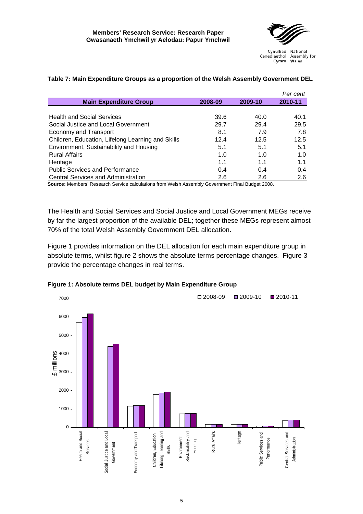

|                                                   |         |         | Per cent |
|---------------------------------------------------|---------|---------|----------|
| <b>Main Expenditure Group</b>                     | 2008-09 | 2009-10 | 2010-11  |
|                                                   |         |         |          |
| <b>Health and Social Services</b>                 | 39.6    | 40.0    | 40.1     |
| Social Justice and Local Government               | 29.7    | 29.4    | 29.5     |
| Economy and Transport                             | 8.1     | 7.9     | 7.8      |
| Children, Education, Lifelong Learning and Skills | 12.4    | 12.5    | 12.5     |
| Environment, Sustainability and Housing           | 5.1     | 5.1     | 5.1      |
| <b>Rural Affairs</b>                              | 1.0     | 1.0     | 1.0      |
| Heritage                                          | 1.1     | 1.1     | 1.1      |
| <b>Public Services and Performance</b>            | 0.4     | 0.4     | 0.4      |
| <b>Central Services and Administration</b>        | 2.6     | 2.6     | 2.6      |

#### **Table 7: Main Expenditure Groups as a proportion of the Welsh Assembly Government DEL**

**Source:** Members' Research Service calculations from Welsh Assembly Government Final Budget 2008.

The Health and Social Services and Social Justice and Local Government MEGs receive by far the largest proportion of the available DEL; together these MEGs represent almost 70% of the total Welsh Assembly Government DEL allocation.

Figure 1 provides information on the DEL allocation for each main expenditure group in absolute terms, whilst figure 2 shows the absolute terms percentage changes. Figure 3 provide the percentage changes in real terms.



**Figure 1: Absolute terms DEL budget by Main Expenditure Group**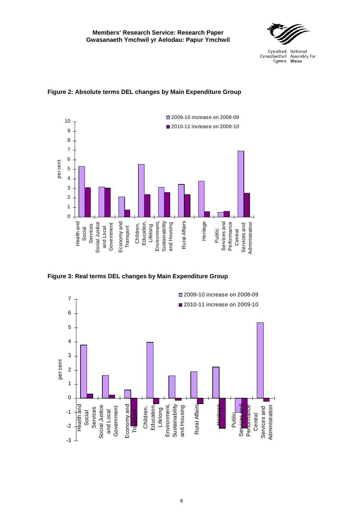



## **Figure 2: Absolute terms DEL changes by Main Expenditure Group**

**Figure 3: Real terms DEL changes by Main Expenditure Group** 

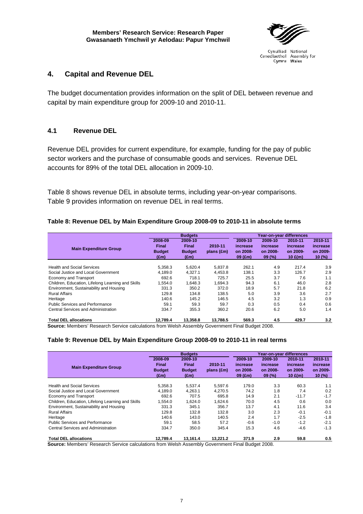

# <span id="page-14-0"></span>**4. Capital and Revenue DEL**

The budget documentation provides information on the split of DEL between revenue and capital by main expenditure group for 2009-10 and 2010-11.

# **4.1 Revenue DEL**

Revenue DEL provides for current expenditure, for example, funding for the pay of public sector workers and the purchase of consumable goods and services. Revenue DEL accounts for 89% of the total DEL allocation in 2009-10.

Table 8 shows revenue DEL in absolute terms, including year-on-year comparisons. Table 9 provides information on revenue DEL in real terms.

## **Table 8: Revenue DEL by Main Expenditure Group 2008-09 to 2010-11 in absolute terms**

|                                                   |               | <b>Budgets</b> |              |           | Year-on-year differences |           |          |
|---------------------------------------------------|---------------|----------------|--------------|-----------|--------------------------|-----------|----------|
|                                                   | 2008-09       | 2009-10        |              | 2009-10   | 2009-10                  | 2010-11   | 2010-11  |
| <b>Main Expenditure Group</b>                     | Final         | <b>Final</b>   | 2010-11      | increase  | increase                 | increase  | increase |
|                                                   | <b>Budget</b> | <b>Budget</b>  | $plans$ (£m) | on 2008-  | on 2008-                 | on 2009-  | on 2009- |
|                                                   | $(\text{Em})$ | (£m)           |              | $09$ (£m) | 09(%)                    | 10 $E(m)$ | 10(%)    |
|                                                   |               |                |              |           |                          |           |          |
| <b>Health and Social Services</b>                 | 5.358.3       | 5,620.4        | 5,837.8      | 262.1     | 4.9                      | 217.4     | 3.9      |
| Social Justice and Local Government               | 4.189.0       | 4.327.1        | 4.453.8      | 138.1     | 3.3                      | 126.7     | 2.9      |
| Economy and Transport                             | 692.6         | 718.1          | 725.7        | 25.5      | 3.7                      | 7.6       | 1.1      |
| Children, Education, Lifelong Learning and Skills | 1.554.0       | 1,648.3        | 1.694.3      | 94.3      | 6.1                      | 46.0      | 2.8      |
| Environment. Sustainability and Housing           | 331.3         | 350.2          | 372.0        | 18.9      | 5.7                      | 21.8      | 6.2      |
| <b>Rural Affairs</b>                              | 129.8         | 134.8          | 138.5        | 5.0       | 3.9                      | 3.6       | 2.7      |
| Heritage                                          | 140.6         | 145.2          | 146.5        | 4.5       | 3.2                      | 1.3       | 0.9      |
| Public Services and Performance                   | 59.1          | 59.3           | 59.7         | 0.3       | 0.5                      | 0.4       | 0.6      |
| Central Services and Administration               | 334.7         | 355.3          | 360.2        | 20.6      | 6.2                      | 5.0       | 1.4      |
| <b>Total DEL allocations</b>                      | 12.789.4      | 13.358.8       | 13.788.5     | 569.3     | 4.5                      | 429.7     | 3.2      |

**Source:** Members' Research Service calculations from Welsh Assembly Government Final Budget 2008.

#### **Table 9: Revenue DEL by Main Expenditure Group 2008-09 to 2010-11 in real terms**

|                                                   |                                                         | <b>Budgets</b>                                            |                         |                                              |                                          |                                              |                                          |
|---------------------------------------------------|---------------------------------------------------------|-----------------------------------------------------------|-------------------------|----------------------------------------------|------------------------------------------|----------------------------------------------|------------------------------------------|
| <b>Main Expenditure Group</b>                     | 2008-09<br>Final<br><b>Budget</b><br>(f <sub>em</sub> ) | 2009-10<br><b>Final</b><br><b>Budget</b><br>$(\text{Em})$ | 2010-11<br>$plans$ (£m) | 2009-10<br>increase<br>on 2008-<br>$09$ (£m) | 2009-10<br>increase<br>on 2008-<br>09(%) | 2010-11<br>increase<br>on 2009-<br>10 $E(m)$ | 2010-11<br>increase<br>on 2009-<br>10(%) |
| <b>Health and Social Services</b>                 | 5.358.3                                                 | 5.537.4                                                   | 5,597.6                 | 179.0                                        | 3.3                                      | 60.3                                         | 1.1                                      |
| Social Justice and Local Government               | 4,189.0                                                 | 4,263.1                                                   | 4.270.5                 | 74.2                                         | 1.8                                      | 7.4                                          | 0.2                                      |
| Economy and Transport                             | 692.6                                                   | 707.5                                                     | 695.8                   | 14.9                                         | 2.1                                      | $-11.7$                                      | $-1.7$                                   |
| Children, Education, Lifelong Learning and Skills | 1.554.0                                                 | 1.624.0                                                   | 1.624.6                 | 70.0                                         | 4.5                                      | 0.6                                          | 0.0                                      |
| Environment, Sustainability and Housing           | 331.3                                                   | 345.1                                                     | 356.7                   | 13.7                                         | 4.1                                      | 11.6                                         | 3.4                                      |
| <b>Rural Affairs</b>                              | 129.8                                                   | 132.8                                                     | 132.8                   | 3.0                                          | 2.3                                      | $-0.1$                                       | $-0.1$                                   |
| Heritage                                          | 140.6                                                   | 143.0                                                     | 140.5                   | 2.4                                          | 1.7                                      | $-2.5$                                       | $-1.8$                                   |
| <b>Public Services and Performance</b>            | 59.1                                                    | 58.5                                                      | 57.2                    | $-0.6$                                       | $-1.0$                                   | $-1.2$                                       | $-2.1$                                   |
| Central Services and Administration               | 334.7                                                   | 350.0                                                     | 345.4                   | 15.3                                         | 4.6                                      | $-4.6$                                       | $-1.3$                                   |
| <b>Total DEL allocations</b>                      | 12.789.4                                                | 13.161.4                                                  | 13.221.2                | 371.9                                        | 2.9                                      | 59.8                                         | 0.5                                      |

**Source:** Members' Research Service calculations from Welsh Assembly Government Final Budget 2008.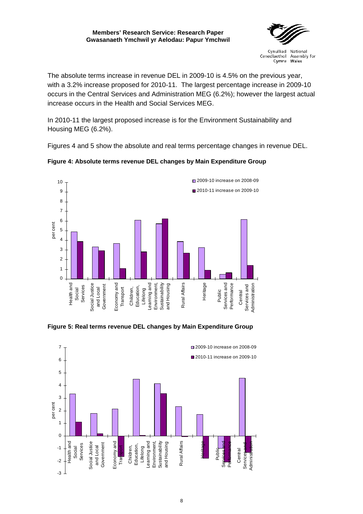#### **Members' Research Service: Research Paper Gwasanaeth Ymchwil yr Aelodau: Papur Ymchwil**



Cynulliad National Cenedlaethol Assembly for Cymru Wales

The absolute terms increase in revenue DEL in 2009-10 is 4.5% on the previous year, with a 3.2% increase proposed for 2010-11. The largest percentage increase in 2009-10 occurs in the Central Services and Administration MEG (6.2%); however the largest actual increase occurs in the Health and Social Services MEG.

In 2010-11 the largest proposed increase is for the Environment Sustainability and Housing MEG (6.2%).

Figures 4 and 5 show the absolute and real terms percentage changes in revenue DEL.



# **Figure 4: Absolute terms revenue DEL changes by Main Expenditure Group**

**Figure 5: Real terms revenue DEL changes by Main Expenditure Group** 

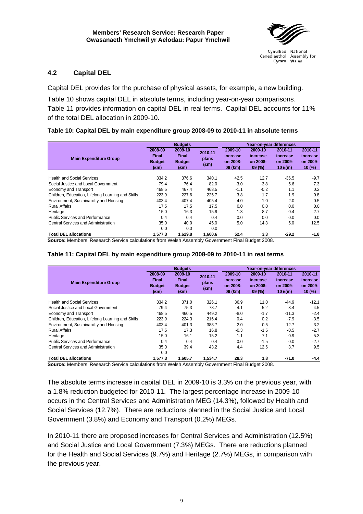

## <span id="page-16-0"></span>**4.2 Capital DEL**

Capital DEL provides for the purchase of physical assets, for example, a new building.

Table 10 shows capital DEL in absolute terms, including year-on-year comparisons. Table 11 provides information on capital DEL in real terms. Capital DEL accounts for 11% of the total DEL allocation in 2009-10.

#### **Table 10: Capital DEL by main expenditure group 2008-09 to 2010-11 in absolute terms**

|                                                   |                                                    | <b>Budgets</b>                                            |                                   |                                              |                                          |                                              |                                          |
|---------------------------------------------------|----------------------------------------------------|-----------------------------------------------------------|-----------------------------------|----------------------------------------------|------------------------------------------|----------------------------------------------|------------------------------------------|
| <b>Main Expenditure Group</b>                     | 2008-09<br>Final<br><b>Budget</b><br>$(\text{Em})$ | 2009-10<br><b>Final</b><br><b>Budget</b><br>$(\text{Em})$ | 2010-11<br>plans<br>$(\text{Em})$ | 2009-10<br>increase<br>on 2008-<br>$09$ (£m) | 2009-10<br>increase<br>on 2008-<br>09(%) | 2010-11<br>increase<br>on 2009-<br>10 $E(m)$ | 2010-11<br>increase<br>on 2009-<br>10(%) |
| <b>Health and Social Services</b>                 | 334.2                                              | 376.6                                                     | 340.1                             | 42.5                                         | 12.7                                     | $-36.5$                                      | $-9.7$                                   |
| Social Justice and Local Government               | 79.4                                               | 76.4                                                      | 82.0                              | $-3.0$                                       | $-3.8$                                   | 5.6                                          | 7.3                                      |
| Economy and Transport                             | 468.5                                              | 467.4                                                     | 468.5                             | $-1.1$                                       | $-0.2$                                   | 1.1                                          | 0.2                                      |
| Children, Education, Lifelong Learning and Skills | 223.9                                              | 227.6                                                     | 225.7                             | 3.8                                          | 1.7                                      | $-1.9$                                       | $-0.8$                                   |
| Environment, Sustainability and Housing           | 403.4                                              | 407.4                                                     | 405.4                             | 4.0                                          | 1.0                                      | $-2.0$                                       | $-0.5$                                   |
| <b>Rural Affairs</b>                              | 17.5                                               | 17.5                                                      | 17.5                              | 0.0                                          | 0.0                                      | 0.0                                          | 0.0                                      |
| Heritage                                          | 15.0                                               | 16.3                                                      | 15.9                              | 1.3                                          | 8.7                                      | $-0.4$                                       | $-2.7$                                   |
| <b>Public Services and Performance</b>            | 0.4                                                | 0.4                                                       | 0.4                               | 0.0                                          | 0.0                                      | 0.0                                          | 0.0                                      |
| Central Services and Administration               | 35.0<br>0.0                                        | 40.0<br>0.0                                               | 45.0<br>0.0                       | 5.0                                          | 14.3                                     | 5.0                                          | 12.5                                     |
| <b>Total DEL allocations</b>                      | 1.577.3                                            | 1.629.8                                                   | 1.600.6                           | 52.4                                         | 3.3                                      | $-29.2$                                      | $-1.8$                                   |

**Source:** Members' Research Service calculations from Welsh Assembly Government Final Budget 2008.

#### **Table 11: Capital DEL by main expenditure group 2008-09 to 2010-11 in real terms**

|                                                   |                                                           | <b>Budgets</b>                                            |                                   |                                              | Year-on-year differences                 |                                              |                                          |  |
|---------------------------------------------------|-----------------------------------------------------------|-----------------------------------------------------------|-----------------------------------|----------------------------------------------|------------------------------------------|----------------------------------------------|------------------------------------------|--|
| <b>Main Expenditure Group</b>                     | 2008-09<br><b>Final</b><br><b>Budget</b><br>$(\text{Em})$ | 2009-10<br><b>Final</b><br><b>Budget</b><br>$(\text{Em})$ | 2010-11<br>plans<br>$(\text{Em})$ | 2009-10<br>increase<br>on 2008-<br>$09$ (£m) | 2009-10<br>increase<br>on 2008-<br>09(%) | 2010-11<br>increase<br>on 2009-<br>10 $E(m)$ | 2010-11<br>increase<br>on 2009-<br>10(%) |  |
| <b>Health and Social Services</b>                 | 334.2                                                     | 371.0                                                     | 326.1                             | 36.9                                         | 11.0                                     | $-44.9$                                      | $-12.1$                                  |  |
| Social Justice and Local Government               | 79.4                                                      | 75.3                                                      | 78.7                              | $-4.1$                                       | $-5.2$                                   | 3.4                                          | 4.5                                      |  |
| Economy and Transport                             | 468.5                                                     | 460.5                                                     | 449.2                             | $-8.0$                                       | $-1.7$                                   | $-11.3$                                      | $-2.4$                                   |  |
| Children, Education, Lifelong Learning and Skills | 223.9                                                     | 224.3                                                     | 216.4                             | 0.4                                          | 0.2                                      | $-7.9$                                       | $-3.5$                                   |  |
| Environment, Sustainability and Housing           | 403.4                                                     | 401.3                                                     | 388.7                             | $-2.0$                                       | $-0.5$                                   | $-12.7$                                      | $-3.2$                                   |  |
| <b>Rural Affairs</b>                              | 17.5                                                      | 17.3                                                      | 16.8                              | $-0.3$                                       | $-1.5$                                   | $-0.5$                                       | $-2.7$                                   |  |
| Heritage                                          | 15.0                                                      | 16.1                                                      | 15.2                              | 1.1                                          | 7.1                                      | $-0.9$                                       | $-5.3$                                   |  |
| <b>Public Services and Performance</b>            | 0.4                                                       | 0.4                                                       | 0.4                               | 0.0                                          | $-1.5$                                   | 0.0                                          | $-2.7$                                   |  |
| <b>Central Services and Administration</b>        | 35.0<br>0.0                                               | 39.4                                                      | 43.2                              | 4.4                                          | 12.6                                     | 3.7                                          | 9.5                                      |  |
| <b>Total DEL allocations</b>                      | 1.577.3                                                   | 1.605.7                                                   | 1,534.7                           | 28.3                                         | 1.8                                      | $-71.0$                                      | $-4.4$                                   |  |

**Source:** Members' Research Service calculations from Welsh Assembly Government Final Budget 2008.

The absolute terms increase in capital DEL in 2009-10 is 3.3% on the previous year, with a 1.8% reduction budgeted for 2010-11. The largest percentage increase in 2009-10 occurs in the Central Services and Administration MEG (14.3%), followed by Health and Social Services (12.7%). There are reductions planned in the Social Justice and Local Government (3.8%) and Economy and Transport (0.2%) MEGs.

In 2010-11 there are proposed increases for Central Services and Administration (12.5%) and Social Justice and Local Government (7.3%) MEGs. There are reductions planned for the Health and Social Services (9.7%) and Heritage (2.7%) MEGs, in comparison with the previous year.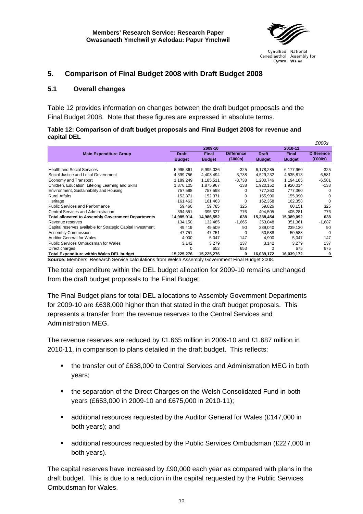

Cenedlaethol Assembly for Cymru Wales

# <span id="page-17-0"></span>**5. Comparison of Final Budget 2008 with Draft Budget 2008**

## **5.1 Overall changes**

Table 12 provides information on changes between the draft budget proposals and the Final Budget 2008. Note that these figures are expressed in absolute terms.

#### **Table 12: Comparison of draft budget proposals and Final Budget 2008 for revenue and capital DEL**

|                                                             |               |               |                   |               |               | £000s             |
|-------------------------------------------------------------|---------------|---------------|-------------------|---------------|---------------|-------------------|
|                                                             |               | 2009-10       |                   |               | 2010-11       |                   |
| <b>Main Expenditure Group</b>                               | <b>Draft</b>  | <b>Final</b>  | <b>Difference</b> | <b>Draft</b>  | <b>Final</b>  | <b>Difference</b> |
|                                                             | <b>Budget</b> | <b>Budget</b> | (£000s)           | <b>Budget</b> | <b>Budget</b> | (£000s)           |
|                                                             |               |               |                   |               |               |                   |
| <b>Health and Social Services</b>                           | 5,995,361     | 5,995,036     | $-325$            | 6.178.285     | 6,177,960     | $-325$            |
| Social Justice and Local Government                         | 4,399,756     | 4,403,494     | 3,738             | 4,529,232     | 4,535,813     | 6,581             |
| Economy and Transport                                       | 1,189,249     | 1,185,511     | $-3,738$          | 1,200,746     | 1,194,165     | $-6,581$          |
| Children, Education, Lifelong Learning and Skills           | 1,876,105     | 1,875,967     | -138              | 1,920,152     | 1,920,014     | $-138$            |
| Environment, Sustainability and Housing                     | 757,598       | 757,598       | 0                 | 777,360       | 777,360       | $\Omega$          |
| <b>Rural Affairs</b>                                        | 152,371       | 152,371       | 0                 | 155,990       | 155,990       | $\Omega$          |
| Heritage                                                    | 161.463       | 161.463       | $\Omega$          | 162,358       | 162,358       | $\Omega$          |
| Public Services and Performance                             | 59.460        | 59.785        | 325               | 59,826        | 60.151        | 325               |
| Central Services and Administration                         | 394,551       | 395,327       | 776               | 404,505       | 405,281       | 776               |
| <b>Total allocated to Assembly Government Departments</b>   | 14,985,914    | 14,986,552    | 638               | 15,388,454    | 15,389,092    | 638               |
| Revenue reserves                                            | 134,150       | 132,485       | $-1,665$          | 353,048       | 351,361       | $-1,687$          |
| Capital reserves available for Strategic Capital Investment | 49,419        | 49,509        | 90                | 239,040       | 239,130       | 90                |
| Assembly Commission                                         | 47,751        | 47,751        | $\Omega$          | 50,588        | 50,588        | $\Omega$          |
| <b>Auditor General for Wales</b>                            | 4,900         | 5,047         | 147               | 4,900         | 5,047         | 147               |
| Public Services Ombudsman for Wales                         | 3,142         | 3,279         | 137               | 3,142         | 3,279         | 137               |
| Direct charges                                              | $\Omega$      | 653           | 653               | 0             | 675           | 675               |
| <b>Total Expenditure within Wales DEL budget</b>            | 15,225,276    | 15,225,276    | 0                 | 16,039,172    | 16,039,172    | 0                 |

**Source:** Members' Research Service calculations from Welsh Assembly Government Final Budget 2008.

The total expenditure within the DEL budget allocation for 2009-10 remains unchanged from the draft budget proposals to the Final Budget.

The Final Budget plans for total DEL allocations to Assembly Government Departments for 2009-10 are £638,000 higher than that stated in the draft budget proposals. This represents a transfer from the revenue reserves to the Central Services and Administration MEG.

The revenue reserves are reduced by £1.665 million in 2009-10 and £1.687 million in 2010-11, in comparison to plans detailed in the draft budget. This reflects:

- the transfer out of £638,000 to Central Services and Administration MEG in both years;
- the separation of the Direct Charges on the Welsh Consolidated Fund in both years (£653,000 in 2009-10 and £675,000 in 2010-11);
- additional resources requested by the Auditor General for Wales (£147,000 in both years); and
- additional resources requested by the Public Services Ombudsman (£227,000 in both years).

The capital reserves have increased by £90,000 each year as compared with plans in the draft budget. This is due to a reduction in the capital requested by the Public Services Ombudsman for Wales.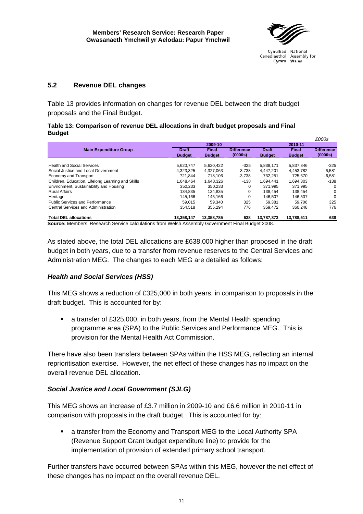

*£000s* 

# <span id="page-18-0"></span>**5.2 Revenue DEL changes**

Table 13 provides information on changes for revenue DEL between the draft budget proposals and the Final Budget.

#### **Table 13: Comparison of revenue DEL allocations in draft budget proposals and Final Budget**

|                                                   |               |               |                   |               |               | <i><b>LUUUS</b></i> |
|---------------------------------------------------|---------------|---------------|-------------------|---------------|---------------|---------------------|
|                                                   |               | 2009-10       |                   |               | 2010-11       |                     |
| <b>Main Expenditure Group</b>                     | <b>Draft</b>  | <b>Final</b>  | <b>Difference</b> | <b>Draft</b>  | <b>Final</b>  | <b>Difference</b>   |
|                                                   | <b>Budget</b> | <b>Budget</b> | (£000s)           | <b>Budget</b> | <b>Budget</b> | (£000s)             |
|                                                   |               |               |                   |               |               |                     |
| <b>Health and Social Services</b>                 | 5.620.747     | 5.620.422     | $-325$            | 5.838.171     | 5,837,846     | $-325$              |
| Social Justice and Local Government               | 4.323.325     | 4.327.063     | 3.738             | 4.447.201     | 4.453.782     | 6,581               |
| Economy and Transport                             | 721,844       | 718,106       | $-3,738$          | 732,251       | 725,670       | $-6,581$            |
| Children, Education, Lifelong Learning and Skills | 1.648.464     | 1.648.326     | $-138$            | 1.694.441     | 1.694.303     | $-138$              |
| Environment, Sustainability and Housing           | 350.233       | 350.233       | 0                 | 371,995       | 371.995       | 0                   |
| <b>Rural Affairs</b>                              | 134.835       | 134,835       | 0                 | 138.454       | 138.454       | $\mathbf 0$         |
| Heritage                                          | 145.166       | 145,166       | 0                 | 146.507       | 146,507       | 0                   |
| Public Services and Performance                   | 59.015        | 59.340        | 325               | 59.381        | 59.706        | 325                 |
| Central Services and Administration               | 354.518       | 355.294       | 776               | 359.472       | 360.248       | 776                 |
| <b>Total DEL allocations</b>                      | 13,358,147    | 13,358,785    | 638               | 13.787.873    | 13,788,511    | 638                 |

**Source:** Members' Research Service calculations from Welsh Assembly Government Final Budget 2008.

As stated above, the total DEL allocations are £638,000 higher than proposed in the draft budget in both years, due to a transfer from revenue reserves to the Central Services and Administration MEG. The changes to each MEG are detailed as follows:

## *Health and Social Services (HSS)*

This MEG shows a reduction of £325,000 in both years, in comparison to proposals in the draft budget. This is accounted for by:

 a transfer of £325,000, in both years, from the Mental Health spending programme area (SPA) to the Public Services and Performance MEG. This is provision for the Mental Health Act Commission.

There have also been transfers between SPAs within the HSS MEG, reflecting an internal reprioritisation exercise. However, the net effect of these changes has no impact on the overall revenue DEL allocation.

# *Social Justice and Local Government (SJLG)*

This MEG shows an increase of £3.7 million in 2009-10 and £6.6 million in 2010-11 in comparison with proposals in the draft budget. This is accounted for by:

 a transfer from the Economy and Transport MEG to the Local Authority SPA (Revenue Support Grant budget expenditure line) to provide for the implementation of provision of extended primary school transport.

Further transfers have occurred between SPAs within this MEG, however the net effect of these changes has no impact on the overall revenue DEL.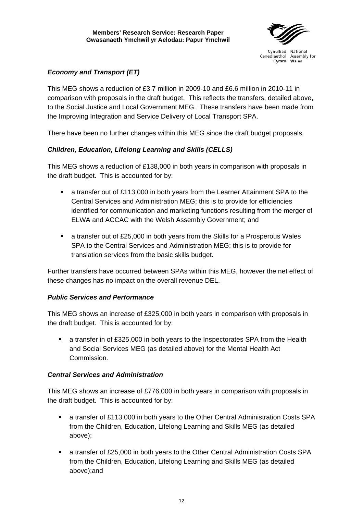

# *Economy and Transport (ET)*

This MEG shows a reduction of £3.7 million in 2009-10 and £6.6 million in 2010-11 in comparison with proposals in the draft budget. This reflects the transfers, detailed above, to the Social Justice and Local Government MEG. These transfers have been made from the Improving Integration and Service Delivery of Local Transport SPA.

There have been no further changes within this MEG since the draft budget proposals.

# *Children, Education, Lifelong Learning and Skills (CELLS)*

This MEG shows a reduction of £138,000 in both years in comparison with proposals in the draft budget. This is accounted for by:

- a transfer out of £113,000 in both years from the Learner Attainment SPA to the Central Services and Administration MEG; this is to provide for efficiencies identified for communication and marketing functions resulting from the merger of ELWA and ACCAC with the Welsh Assembly Government; and
- a transfer out of £25,000 in both years from the Skills for a Prosperous Wales SPA to the Central Services and Administration MEG; this is to provide for translation services from the basic skills budget.

Further transfers have occurred between SPAs within this MEG, however the net effect of these changes has no impact on the overall revenue DEL.

## *Public Services and Performance*

This MEG shows an increase of £325,000 in both years in comparison with proposals in the draft budget. This is accounted for by:

 a transfer in of £325,000 in both years to the Inspectorates SPA from the Health and Social Services MEG (as detailed above) for the Mental Health Act Commission.

## *Central Services and Administration*

This MEG shows an increase of £776,000 in both years in comparison with proposals in the draft budget. This is accounted for by:

- a transfer of £113,000 in both years to the Other Central Administration Costs SPA from the Children, Education, Lifelong Learning and Skills MEG (as detailed above);
- a transfer of £25,000 in both years to the Other Central Administration Costs SPA from the Children, Education, Lifelong Learning and Skills MEG (as detailed above);and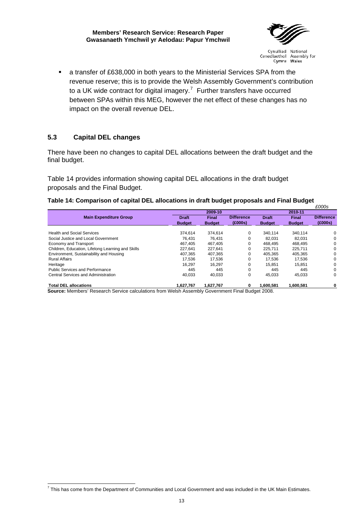**Members' Research Service: Research Paper Gwasanaeth Ymchwil yr Aelodau: Papur Ymchwil** 



Cynulliad National Cenedlaethol Assembly for Cymru Wales

<span id="page-20-0"></span> a transfer of £638,000 in both years to the Ministerial Services SPA from the revenue reserve; this is to provide the Welsh Assembly Government's contribution to a UK wide contract for digital imagery.<sup>[7](#page-20-1)</sup> Further transfers have occurred between SPAs within this MEG, however the net effect of these changes has no impact on the overall revenue DEL.

## **5.3 Capital DEL changes**

There have been no changes to capital DEL allocations between the draft budget and the final budget.

Table 14 provides information showing capital DEL allocations in the draft budget proposals and the Final Budget.

#### **Table 14: Comparison of capital DEL allocations in draft budget proposals and Final Budget**

|                                                   |               |               |                   |               |               | £000s             |  |
|---------------------------------------------------|---------------|---------------|-------------------|---------------|---------------|-------------------|--|
|                                                   |               | 2009-10       |                   |               | 2010-11       |                   |  |
| <b>Main Expenditure Group</b>                     | <b>Draft</b>  | <b>Final</b>  | <b>Difference</b> | <b>Draft</b>  | <b>Final</b>  | <b>Difference</b> |  |
|                                                   | <b>Budget</b> | <b>Budget</b> | (£000s)           | <b>Budget</b> | <b>Budget</b> | (£000s)           |  |
| <b>Health and Social Services</b>                 | 374.614       | 374.614       | 0                 | 340.114       | 340,114       | 0                 |  |
| Social Justice and Local Government               | 76.431        | 76.431        | 0                 | 82.031        | 82.031        | 0                 |  |
| Economy and Transport                             | 467.405       | 467.405       | 0                 | 468.495       | 468.495       | 0                 |  |
| Children, Education, Lifelong Learning and Skills | 227.641       | 227.641       | 0                 | 225.711       | 225.711       | 0                 |  |
| Environment, Sustainability and Housing           | 407.365       | 407.365       | 0                 | 405.365       | 405.365       | 0                 |  |
| <b>Rural Affairs</b>                              | 17.536        | 17.536        | 0                 | 17.536        | 17,536        | 0                 |  |
| Heritage                                          | 16,297        | 16.297        | 0                 | 15.851        | 15,851        | 0                 |  |
| <b>Public Services and Performance</b>            | 445           | 445           | 0                 | 445           | 445           | $\Omega$          |  |
| Central Services and Administration               | 40.033        | 40,033        | 0                 | 45.033        | 45,033        | 0                 |  |
| <b>Total DEL allocations</b>                      | 1.627.767     | 1.627.767     | 0                 | 1.600.581     | 1,600,581     | 0                 |  |

**Source:** Members' Research Service calculations from Welsh Assembly Government Final Budget 2008.

<span id="page-20-1"></span> 7 This has come from the Department of Communities and Local Government and was included in the UK Main Estimates.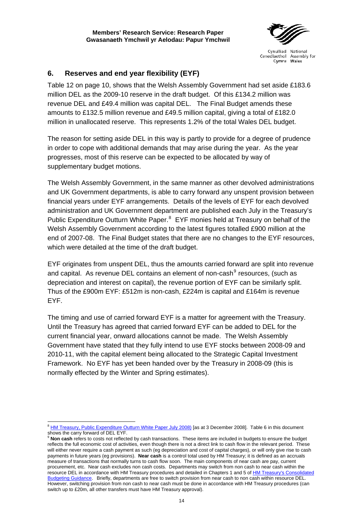

# <span id="page-21-0"></span>**6. Reserves and end year flexibility (EYF)**

Table 12 on page 10, shows that the Welsh Assembly Government had set aside £183.6 million DEL as the 2009-10 reserve in the draft budget. Of this £134.2 million was revenue DEL and £49.4 million was capital DEL. The Final Budget amends these amounts to £132.5 million revenue and £49.5 million capital, giving a total of £182.0 million in unallocated reserve. This represents 1.2% of the total Wales DEL budget.

The reason for setting aside DEL in this way is partly to provide for a degree of prudence in order to cope with additional demands that may arise during the year. As the year progresses, most of this reserve can be expected to be allocated by way of supplementary budget motions.

The Welsh Assembly Government, in the same manner as other devolved administrations and UK Government departments, is able to carry forward any unspent provision between financial years under EYF arrangements. Details of the levels of EYF for each devolved administration and UK Government department are published each July in the Treasury's Public Expenditure Outturn White Paper.<sup>[8](#page-21-1)</sup> EYF monies held at Treasury on behalf of the Welsh Assembly Government according to the latest figures totalled £900 million at the end of 2007-08. The Final Budget states that there are no changes to the EYF resources, which were detailed at the time of the draft budget.

EYF originates from unspent DEL, thus the amounts carried forward are split into revenue and capital. As revenue DEL contains an element of non-cash<sup>[9](#page-21-2)</sup> resources, (such as depreciation and interest on capital), the revenue portion of EYF can be similarly split. Thus of the £900m EYF: £512m is non-cash, £224m is capital and £164m is revenue EYF.

The timing and use of carried forward EYF is a matter for agreement with the Treasury. Until the Treasury has agreed that carried forward EYF can be added to DEL for the current financial year, onward allocations cannot be made. The Welsh Assembly Government have stated that they fully intend to use EYF stocks between 2008-09 and 2010-11, with the capital element being allocated to the Strategic Capital Investment Framework. No EYF has yet been handed over by the Treasury in 2008-09 (this is normally effected by the Winter and Spring estimates).

 <sup>8</sup> [HM Treasury, Public Expenditure Outturn White Paper July 2008\)](http://www.hm-treasury.gov.uk/d/1(10).pdf) [as at 3 December 2008]. Table 6 in this document

<span id="page-21-2"></span><span id="page-21-1"></span>shows the carry forward of DEL EYF.<br><sup>9</sup> **Non cash** refers to costs not reflected by cash transactions. These items are included in budgets to ensure the budget reflects the full economic cost of activities, even though there is not a direct link to cash flow in the relevant period. These will either never require a cash payment as such (eg depreciation and cost of capital charges), or will only give rise to cash payments in future years (eg provisions). **Near cash** is a control total used by HM Treasury; it is defined as an accruals measure of transactions that normally turns to cash flow soon. The main components of near cash are pay, current procurement, etc. Near cash excludes non cash costs. Departments may switch from non cash to near cash within the resource DEL in accordance with HM Treasury procedures and detailed in Chapters 1 and 5 of HM Treasury's Consolidated [Budgeting Guidance](http://www.hm-treasury.gov.uk/d/consolidated_budguid010208.pdf). Briefly, departments are free to switch provision from near cash to non cash within resource DEL. However, switching provision from non cash to near cash must be done in accordance with HM Treasury procedures (can switch up to £20m, all other transfers must have HM Treasury approval).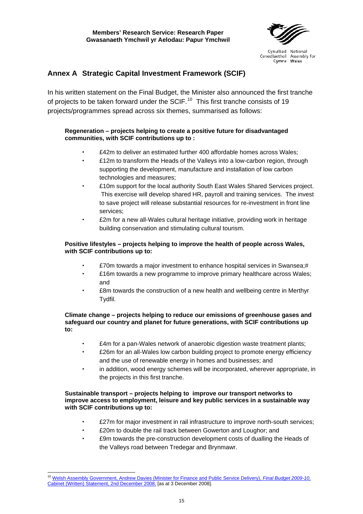

# <span id="page-22-0"></span>**Annex A Strategic Capital Investment Framework (SCIF)**

In his written statement on the Final Budget, the Minister also announced the first tranche of projects to be taken forward under the SCIF.<sup>[10](#page-22-1)</sup> This first tranche consists of 19 projects/programmes spread across six themes, summarised as follows:

#### **Regeneration – projects helping to create a positive future for disadvantaged communities, with SCIF contributions up to :**

- £42m to deliver an estimated further 400 affordable homes across Wales;
- £12m to transform the Heads of the Valleys into a low-carbon region, through supporting the development, manufacture and installation of low carbon technologies and measures;
- £10m support for the local authority South East Wales Shared Services project. This exercise will develop shared HR, payroll and training services. The invest to save project will release substantial resources for re-investment in front line services;
- £2m for a new all-Wales cultural heritage initiative, providing work in heritage building conservation and stimulating cultural tourism.

#### **Positive lifestyles – projects helping to improve the health of people across Wales, with SCIF contributions up to:**

- £70m towards a major investment to enhance hospital services in Swansea;#
- £16m towards a new programme to improve primary healthcare across Wales; and
- £8m towards the construction of a new health and wellbeing centre in Merthyr Tydfil.

#### **Climate change – projects helping to reduce our emissions of greenhouse gases and safeguard our country and planet for future generations, with SCIF contributions up to:**

- £4m for a pan-Wales network of anaerobic digestion waste treatment plants;
- £26m for an all-Wales low carbon building project to promote energy efficiency and the use of renewable energy in homes and businesses; and
- in addition, wood energy schemes will be incorporated, wherever appropriate, in the projects in this first tranche.

#### **Sustainable transport – projects helping to improve our transport networks to improve access to employment, leisure and key public services in a sustainable way with SCIF contributions up to:**

- £27m for major investment in rail infrastructure to improve north-south services;
- £20m to double the rail track between Gowerton and Loughor; and
- £9m towards the pre-construction development costs of dualling the Heads of the Valleys road between Tredegar and Brynmawr.

<span id="page-22-1"></span> <sup>10</sup> [Welsh Assembly Government, Andrew Davies \(Minister for Finance and Public Service Delivery\),](http://wales.gov.uk/about/cabinet/cabinetstatements/2008/2777834/?lang=en) *Final Budget 2009-10*, [Cabinet \(Written\) Statement, 2nd December 2008.](http://wales.gov.uk/about/cabinet/cabinetstatements/2008/2777834/?lang=en) [as at 3 December 2008].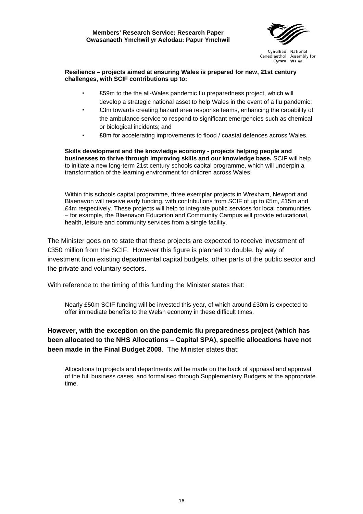

#### **Resilience – projects aimed at ensuring Wales is prepared for new, 21st century challenges, with SCIF contributions up to:**

- £59m to the the all-Wales pandemic flu preparedness project, which will develop a strategic national asset to help Wales in the event of a flu pandemic;
- £3m towards creating hazard area response teams, enhancing the capability of the ambulance service to respond to significant emergencies such as chemical or biological incidents; and
- £8m for accelerating improvements to flood / coastal defences across Wales.

**Skills development and the knowledge economy - projects helping people and businesses to thrive through improving skills and our knowledge base.** SCIF will help to initiate a new long-term 21st century schools capital programme, which will underpin a transformation of the learning environment for children across Wales.

Within this schools capital programme, three exemplar projects in Wrexham, Newport and Blaenavon will receive early funding, with contributions from SCIF of up to £5m, £15m and £4m respectively. These projects will help to integrate public services for local communities – for example, the Blaenavon Education and Community Campus will provide educational, health, leisure and community services from a single facility.

The Minister goes on to state that these projects are expected to receive investment of £350 million from the SCIF. However this figure is planned to double, by way of investment from existing departmental capital budgets, other parts of the public sector and the private and voluntary sectors.

With reference to the timing of this funding the Minister states that:

Nearly £50m SCIF funding will be invested this year, of which around £30m is expected to offer immediate benefits to the Welsh economy in these difficult times.

# **However, with the exception on the pandemic flu preparedness project (which has been allocated to the NHS Allocations – Capital SPA), specific allocations have not been made in the Final Budget 2008**. The Minister states that:

Allocations to projects and departments will be made on the back of appraisal and approval of the full business cases, and formalised through Supplementary Budgets at the appropriate time.